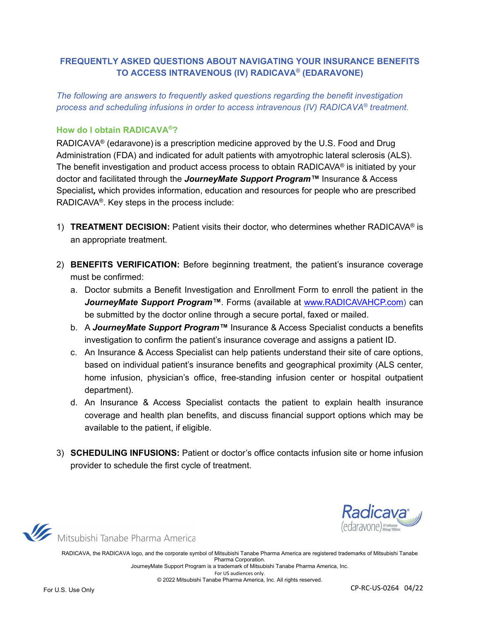## **FREQUENTLY ASKED QUESTIONS ABOUT NAVIGATING YOUR INSURANCE BENEFITS TO ACCESS INTRAVENOUS (IV) RADICAVA® (EDARAVONE)**

*The following are answers to frequently asked questions regarding the benefit investigation process and scheduling infusions in order to access intravenous (IV) RADICAVA® treatment.* 

#### **How do I obtain RADICAVA®?**

RADICAVA® (edaravone) is a prescription medicine approved by the U.S. Food and Drug Administration (FDA) and indicated for adult patients with amyotrophic lateral sclerosis (ALS). The benefit investigation and product access process to obtain RADICAVA<sup>®</sup> is initiated by your doctor and facilitated through the *JourneyMate Support Program™* Insurance & Access Specialist*,* which provides information, education and resources for people who are prescribed RADICAVA®. Key steps in the process include:

- 1) **TREATMENT DECISION:** Patient visits their doctor, who determines whether RADICAVA® is an appropriate treatment.
- 2) **BENEFITS VERIFICATION:** Before beginning treatment, the patient's insurance coverage must be confirmed:
	- a. Doctor submits a Benefit Investigation and Enrollment Form to enroll the patient in the JourneyMate Support Program<sup>™</sup>. Forms (available at [www.RADICAVAHCP.com\)](https://radicava.com/hcp/product-support-and-services/searchlight-support/#benefit-investigation) can be submitted by the doctor online through a secure portal, faxed or mailed.
	- b. A *JourneyMate Support Program™* Insurance & Access Specialist conducts a benefits investigation to confirm the patient's insurance coverage and assigns a patient ID.
	- c. An Insurance & Access Specialist can help patients understand their site of care options, based on individual patient's insurance benefits and geographical proximity (ALS center, home infusion, physician's office, free-standing infusion center or hospital outpatient department).
	- d. An Insurance & Access Specialist contacts the patient to explain health insurance coverage and health plan benefits, and discuss financial support options which may be available to the patient, if eligible.
- 3) **SCHEDULING INFUSIONS:** Patient or doctor's office contacts infusion site or home infusion provider to schedule the first cycle of treatment.



Mitsubishi Tanabe Pharma America

RADICAVA, the RADICAVA logo, and the corporate symbol of Mitsubishi Tanabe Pharma America are registered trademarks of Mitsubishi Tanabe Pharma Corporation. JourneyMate Support Program is a trademark of Mitsubishi Tanabe Pharma America, Inc. For US audiences only.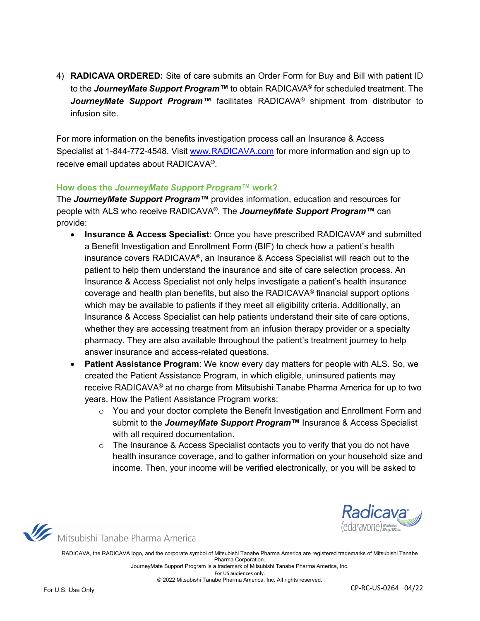4) **RADICAVA ORDERED:** Site of care submits an Order Form for Buy and Bill with patient ID to the *JourneyMate Support Program™* to obtain RADICAVA® for scheduled treatment. The *JourneyMate Support Program™* facilitates RADICAVA® shipment from distributor to infusion site.

For more information on the benefits investigation process call an Insurance & Access Specialist at 1-844-772-4548. Visit [www.RADICAVA.com](http://www.radicava.com/) for more information and sign up to receive email updates about RADICAVA®.

#### **How does the** *JourneyMate Support Program™* **work?**

The *JourneyMate Support Program™* provides information, education and resources for people with ALS who receive RADICAVA®. The *JourneyMate Support Program™* can provide:

- **Insurance & Access Specialist**: Once you have prescribed RADICAVA® and submitted a Benefit Investigation and Enrollment Form (BIF) to check how a patient's health insurance covers RADICAVA®, an Insurance & Access Specialist will reach out to the patient to help them understand the insurance and site of care selection process. An Insurance & Access Specialist not only helps investigate a patient's health insurance coverage and health plan benefits, but also the RADICAVA® financial support options which may be available to patients if they meet all eligibility criteria. Additionally, an Insurance & Access Specialist can help patients understand their site of care options, whether they are accessing treatment from an infusion therapy provider or a specialty pharmacy. They are also available throughout the patient's treatment journey to help answer insurance and access-related questions.
- **Patient Assistance Program**: We know every day matters for people with ALS. So, we created the Patient Assistance Program, in which eligible, uninsured patients may receive RADICAVA® at no charge from Mitsubishi Tanabe Pharma America for up to two years. How the Patient Assistance Program works:
	- $\circ$  You and your doctor complete the Benefit Investigation and Enrollment Form and submit to the *JourneyMate Support Program™* Insurance & Access Specialist with all required documentation.
	- $\circ$  The Insurance & Access Specialist contacts you to verify that you do not have health insurance coverage, and to gather information on your household size and income. Then, your income will be verified electronically, or you will be asked to



Mitsubishi Tanabe Pharma America

RADICAVA, the RADICAVA logo, and the corporate symbol of Mitsubishi Tanabe Pharma America are registered trademarks of Mitsubishi Tanabe Pharma Corporation. JourneyMate Support Program is a trademark of Mitsubishi Tanabe Pharma America, Inc.

For US audiences only.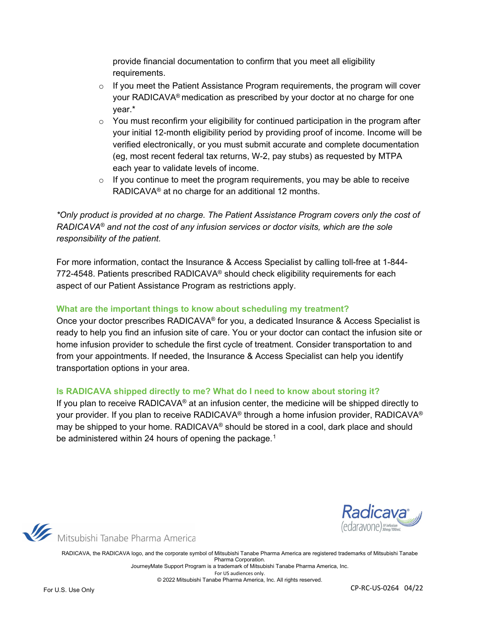provide financial documentation to confirm that you meet all eligibility requirements.

- o If you meet the Patient Assistance Program requirements, the program will cover your RADICAVA® medication as prescribed by your doctor at no charge for one year.\*
- $\circ$  You must reconfirm your eligibility for continued participation in the program after your initial 12-month eligibility period by providing proof of income. Income will be verified electronically, or you must submit accurate and complete documentation (eg, most recent federal tax returns, W-2, pay stubs) as requested by MTPA each year to validate levels of income.
- $\circ$  If you continue to meet the program requirements, you may be able to receive RADICAVA® at no charge for an additional 12 months.

*\*Only product is provided at no charge. The Patient Assistance Program covers only the cost of RADICAVA® and not the cost of any infusion services or doctor visits, which are the sole responsibility of the patient.*

For more information, contact the Insurance & Access Specialist by calling toll-free at 1-844- 772-4548. Patients prescribed RADICAVA® should check eligibility requirements for each aspect of our Patient Assistance Program as restrictions apply.

### **What are the important things to know about scheduling my treatment?**

Once your doctor prescribes RADICAVA® for you, a dedicated Insurance & Access Specialist is ready to help you find an infusion site of care. You or your doctor can contact the infusion site or home infusion provider to schedule the first cycle of treatment. Consider transportation to and from your appointments. If needed, the Insurance & Access Specialist can help you identify transportation options in your area.

#### **Is RADICAVA shipped directly to me? What do I need to know about storing it?**

If you plan to receive RADICAVA<sup>®</sup> at an infusion center, the medicine will be shipped directly to your provider. If you plan to receive RADICAVA® through a home infusion provider, RADICAVA® may be shipped to your home. RADICAVA® should be stored in a cool, dark place and should be administered within 24 hours of opening the package.<sup>[1](#page-4-0)</sup>



Mitsubishi Tanabe Pharma America

RADICAVA, the RADICAVA logo, and the corporate symbol of Mitsubishi Tanabe Pharma America are registered trademarks of Mitsubishi Tanabe Pharma Corporation. JourneyMate Support Program is a trademark of Mitsubishi Tanabe Pharma America, Inc. For US audiences only.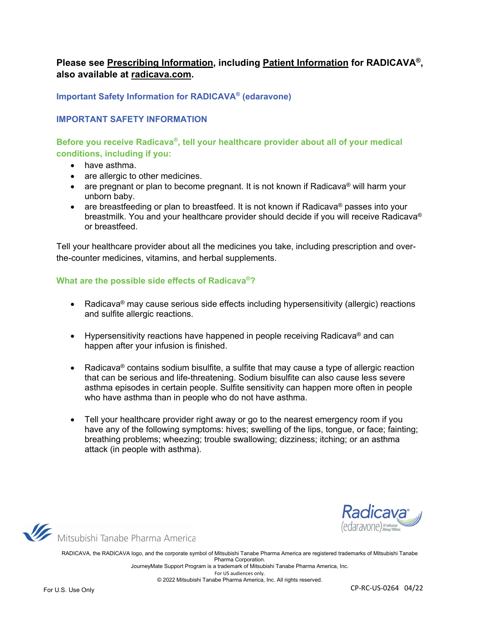# **Please see Prescribing Information, including Patient Information for RADICAVA®, also available at radicava.com.**

**Important Safety Information for RADICAVA® (edaravone)**

#### **IMPORTANT SAFETY INFORMATION**

**Before you receive Radicava®, tell your healthcare provider about all of your medical conditions, including if you:**

- have asthma.
- are allergic to other medicines.
- are pregnant or plan to become pregnant. It is not known if Radicava<sup>®</sup> will harm your unborn baby.
- are breastfeeding or plan to breastfeed. It is not known if Radicava<sup>®</sup> passes into your breastmilk. You and your healthcare provider should decide if you will receive Radicava® or breastfeed.

Tell your healthcare provider about all the medicines you take, including prescription and overthe-counter medicines, vitamins, and herbal supplements.

#### **What are the possible side effects of Radicava®?**

- Radicava® may cause serious side effects including hypersensitivity (allergic) reactions and sulfite allergic reactions.
- Hypersensitivity reactions have happened in people receiving Radicava® and can happen after your infusion is finished.
- Radicava® contains sodium bisulfite, a sulfite that may cause a type of allergic reaction that can be serious and life-threatening. Sodium bisulfite can also cause less severe asthma episodes in certain people. Sulfite sensitivity can happen more often in people who have asthma than in people who do not have asthma.
- Tell your healthcare provider right away or go to the nearest emergency room if you have any of the following symptoms: hives; swelling of the lips, tongue, or face; fainting; breathing problems; wheezing; trouble swallowing; dizziness; itching; or an asthma attack (in people with asthma).



Mitsubishi Tanabe Pharma America

RADICAVA, the RADICAVA logo, and the corporate symbol of Mitsubishi Tanabe Pharma America are registered trademarks of Mitsubishi Tanabe Pharma Corporation. JourneyMate Support Program is a trademark of Mitsubishi Tanabe Pharma America, Inc.

For US audiences only.